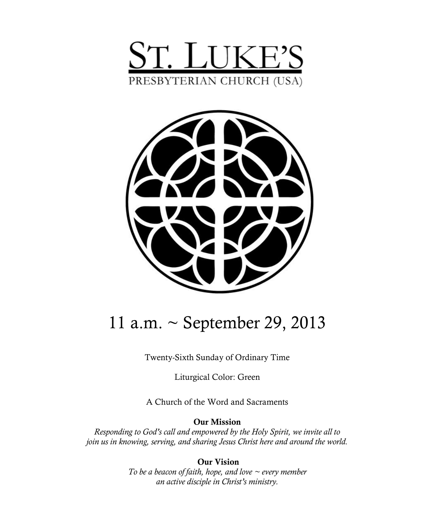



# 11 a.m. ~ September 29, 2013

Twenty-Sixth Sunday of Ordinary Time

Liturgical Color: Green

A Church of the Word and Sacraments

**Our Mission**

*Responding to God's call and empowered by the Holy Spirit, we invite all to join us in knowing, serving, and sharing Jesus Christ here and around the world.*

> **Our Vision** *To be a beacon of faith, hope, and love ~ every member an active disciple in Christ's ministry.*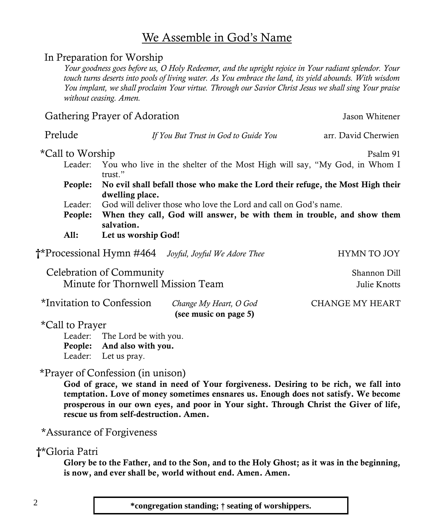#### 2 **\*congregation standing;** † **seating of worshippers.**

#### We Assemble in God's Name

#### In Preparation for Worship

*Your goodness goes before us, O Holy Redeemer, and the upright rejoice in Your radiant splendor. Your touch turns deserts into pools of living water. As You embrace the land, its yield abounds. With wisdom You implant, we shall proclaim Your virtue. Through our Savior Christ Jesus we shall sing Your praise without ceasing. Amen.*

Prelude *If You But Trust in God to Guide You* arr. David Cherwien

#### Gathering Prayer of Adoration Gathering Prayer of Adoration Jason Whitener

\*Call to Worship Psalm 91 Leader: You who live in the shelter of the Most High will say, "My God, in Whom I trust." **People: No evil shall befall those who make the Lord their refuge, the Most High their dwelling place.** Leader: God will deliver those who love the Lord and call on God's name. **People: When they call, God will answer, be with them in trouble, and show them salvation. All: Let us worship God!** 

 **†\*Processional Hymn #464** *Joyful, Joyful We Adore Thee* **HYMN TO JOY** 

Celebration of Community Shannon Dill Minute for Thornwell Mission Team  $J$ ulie Knotts

| *Invitation to Confession | Change My Heart, O God | CHANGE MY HEART |
|---------------------------|------------------------|-----------------|
|                           | (see music on page 5)  |                 |

\*Call to Prayer

Leader: The Lord be with you. **People: And also with you.** Leader: Let us pray.

#### \*Prayer of Confession (in unison)

**God of grace, we stand in need of Your forgiveness. Desiring to be rich, we fall into temptation. Love of money sometimes ensnares us. Enough does not satisfy. We become prosperous in our own eyes, and poor in Your sight. Through Christ the Giver of life, rescue us from self-destruction. Amen.**

\*Assurance of Forgiveness

#### **†**\*Gloria Patri

**Glory be to the Father, and to the Son, and to the Holy Ghost; as it was in the beginning, is now, and ever shall be, world without end. Amen. Amen.**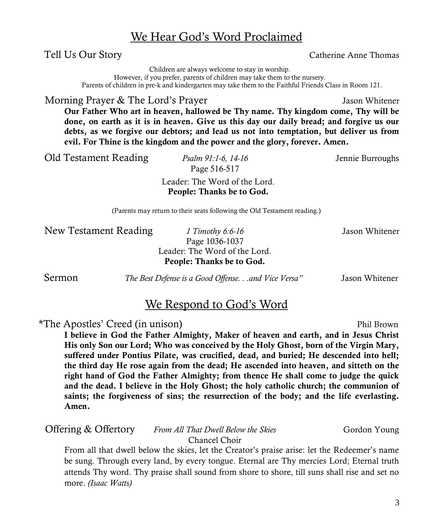3

### We Hear God's Word Proclaimed

Tell Us Our Story **Catherine Anne Thomas** 

Children are always welcome to stay in worship.

However, if you prefer, parents of children may take them to the nursery. Parents of children in pre-k and kindergarten may take them to the Faithful Friends Class in Room 121.

Morning Prayer & The Lord's Prayer  $\blacksquare$  Jason Whitener

**Our Father Who art in heaven, hallowed be Thy name. Thy kingdom come, Thy will be done, on earth as it is in heaven. Give us this day our daily bread; and forgive us our debts, as we forgive our debtors; and lead us not into temptation, but deliver us from evil. For Thine is the kingdom and the power and the glory, forever. Amen.**

Old Testament Reading *Psalm 91:1-6, 14-16* Jennie Burroughs

Page 516-517

Leader: The Word of the Lord. **People: Thanks be to God.** 

(Parents may return to their seats following the Old Testament reading.)

**New Testament Reading** *1 Timothy 6:6-16 Jason Whitener* 

Page 1036-1037 Leader: The Word of the Lord. **People: Thanks be to God.**

Sermon *The Best Defense is a Good Offense. . .and Vice Versa"* Jason Whitener

### We Respond to God's Word

\*The Apostles' Creed (in unison) Phil Brown

**I believe in God the Father Almighty, Maker of heaven and earth, and in Jesus Christ His only Son our Lord; Who was conceived by the Holy Ghost, born of the Virgin Mary, suffered under Pontius Pilate, was crucified, dead, and buried; He descended into hell; the third day He rose again from the dead; He ascended into heaven, and sitteth on the right hand of God the Father Almighty; from thence He shall come to judge the quick and the dead. I believe in the Holy Ghost; the holy catholic church; the communion of saints; the forgiveness of sins; the resurrection of the body; and the life everlasting. Amen.**

Offering & Offertory *From All That Dwell Below the Skies* Gordon Young Chancel Choir

From all that dwell below the skies, let the Creator's praise arise: let the Redeemer's name be sung. Through every land, by every tongue. Eternal are Thy mercies Lord; Eternal truth attends Thy word. Thy praise shall sound from shore to shore, till suns shall rise and set no more. *(Isaac Watts)*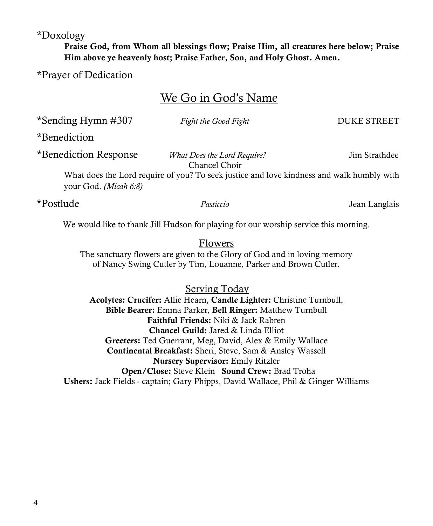\*Doxology

**Praise God, from Whom all blessings flow; Praise Him, all creatures here below; Praise Him above ye heavenly host; Praise Father, Son, and Holy Ghost. Amen.**

\*Prayer of Dedication

### We Go in God's Name

| *Sending Hymn #307                                                                                                                                            | Fight the Good Fight                                | <b>DUKE STREET</b> |  |  |
|---------------------------------------------------------------------------------------------------------------------------------------------------------------|-----------------------------------------------------|--------------------|--|--|
| *Benediction                                                                                                                                                  |                                                     |                    |  |  |
| *Benediction Response                                                                                                                                         | <i>What Does the Lord Require?</i><br>Chancel Choir | Jim Strathdee      |  |  |
| What does the Lord require of you? To seek justice and love kindness and walk humbly with<br>your God. (Micah 6:8)                                            |                                                     |                    |  |  |
| *Postlude                                                                                                                                                     | Pasticcio                                           | Jean Langlais      |  |  |
| We would like to thank Jill Hudson for playing for our worship service this morning.                                                                          |                                                     |                    |  |  |
| <b>Flowers</b><br>The sanctuary flowers are given to the Glory of God and in loving memory<br>of Nancy Swing Cutler by Tim, Louanne, Parker and Brown Cutler. |                                                     |                    |  |  |

Serving Today **Acolytes: Crucifer:** Allie Hearn, **Candle Lighter:** Christine Turnbull, **Bible Bearer:** Emma Parker, **Bell Ringer:** Matthew Turnbull **Faithful Friends:** Niki & Jack Rabren **Chancel Guild:** Jared & Linda Elliot **Greeters:** Ted Guerrant, Meg, David, Alex & Emily Wallace **Continental Breakfast:** Sheri, Steve, Sam & Ansley Wassell **Nursery Supervisor:** Emily Ritzler **Open/Close:** Steve Klein **Sound Crew:** Brad Troha **Ushers:** Jack Fields - captain; Gary Phipps, David Wallace, Phil & Ginger Williams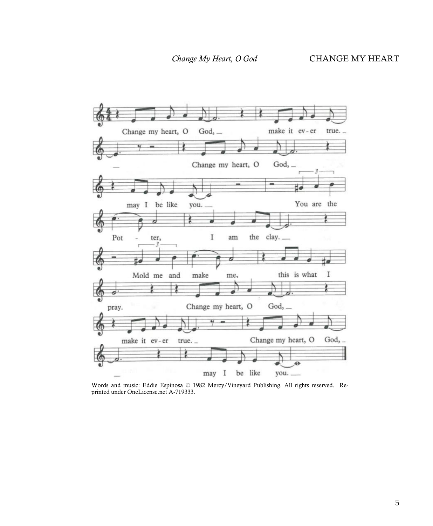

Words and music: Eddie Espinosa © 1982 Mercy/Vineyard Publishing. All rights reserved. Reprinted under OneLicense.net A-719333.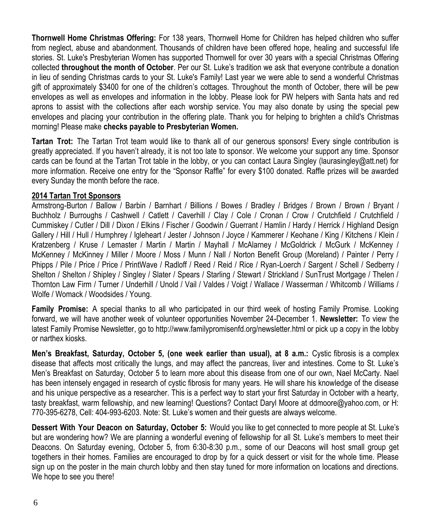**Thornwell Home Christmas Offering:** For 138 years, Thornwell Home for Children has helped children who suffer from neglect, abuse and abandonment. Thousands of children have been offered hope, healing and successful life stories. St. Luke's Presbyterian Women has supported Thornwell for over 30 years with a special Christmas Offering collected **throughout the month of October**. Per our St. Luke's tradition we ask that everyone contribute a donation in lieu of sending Christmas cards to your St. Luke's Family! Last year we were able to send a wonderful Christmas gift of approximately \$3400 for one of the children's cottages. Throughout the month of October, there will be pew envelopes as well as envelopes and information in the lobby. Please look for PW helpers with Santa hats and red aprons to assist with the collections after each worship service. You may also donate by using the special pew envelopes and placing your contribution in the offering plate. Thank you for helping to brighten a child's Christmas morning! Please make **checks payable to Presbyterian Women.** 

**Tartan Trot:** The Tartan Trot team would like to thank all of our generous sponsors! Every single contribution is greatly appreciated. If you haven't already, it is not too late to sponsor. We welcome your support any time. Sponsor cards can be found at the Tartan Trot table in the lobby, or you can contact Laura Singley ([laurasingley@att.net\)](mailto:laurasingley@att.net) for more information. Receive one entry for the "Sponsor Raffle" for every \$100 donated. Raffle prizes will be awarded every Sunday the month before the race.

#### **2014 Tartan Trot Sponsors**

Armstrong-Burton / Ballow / Barbin / Barnhart / Billions / Bowes / Bradley / Bridges / Brown / Brown / Bryant / Buchholz / Burroughs / Cashwell / Catlett / Caverhill / Clay / Cole / Cronan / Crow / Crutchfield / Crutchfield / Cummiskey / Cutler / Dill / Dixon / Elkins / Fischer / Goodwin / Guerrant / Hamlin / Hardy / Herrick / Highland Design Gallery / Hill / Hull / Humphrey / Igleheart / Jester / Johnson / Joyce / Kammerer / Keohane / King / Kitchens / Klein / Kratzenberg / Kruse / Lemaster / Martin / Martin / Mayhall / McAlarney / McGoldrick / McGurk / McKenney / McKenney / McKinney / Miller / Moore / Moss / Munn / Nall / Norton Benefit Group (Moreland) / Painter / Perry / Phipps / Pile / Price / Price / PrintWave / Radloff / Reed / Reid / Rice / Ryan-Loerch / Sargent / Schell / Sedberry / Shelton / Shelton / Shipley / Singley / Slater / Spears / Starling / Stewart / Strickland / SunTrust Mortgage / Thelen / Thornton Law Firm / Turner / Underhill / Unold / Vail / Valdes / Voigt / Wallace / Wasserman / Whitcomb / Williams / Wolfe / Womack / Woodsides / Young.

**Family Promise:** A special thanks to all who participated in our third week of hosting Family Promise. Looking forward, we will have another week of volunteer opportunities November 24-December 1. **Newsletter:** To view the latest Family Promise Newsletter, go to http://www.familypromisenfd.org/newsletter.html or pick up a copy in the lobby or narthex kiosks.

**Men's Breakfast, Saturday, October 5, (one week earlier than usual), at 8 a.m.:** Cystic fibrosis is a complex disease that affects most critically the lungs, and may affect the pancreas, liver and intestines. Come to St. Luke's Men's Breakfast on Saturday, October 5 to learn more about this disease from one of our own, Nael McCarty. Nael has been intensely engaged in research of cystic fibrosis for many years. He will share his knowledge of the disease and his unique perspective as a researcher. This is a perfect way to start your first Saturday in October with a hearty, tasty breakfast, warm fellowship, and new learning! Questions? Contact Daryl Moore at ddmoore@yahoo.com, or H: 770-395-6278, Cell: 404-993-6203. Note: St. Luke's women and their guests are always welcome.

**Dessert With Your Deacon on Saturday, October 5:** Would you like to get connected to more people at St. Luke's but are wondering how? We are planning a wonderful evening of fellowship for all St. Luke's members to meet their Deacons. On Saturday evening, October 5, from 6:30-8:30 p.m., some of our Deacons will host small group get togethers in their homes. Families are encouraged to drop by for a quick dessert or visit for the whole time. Please sign up on the poster in the main church lobby and then stay tuned for more information on locations and directions. We hope to see you there!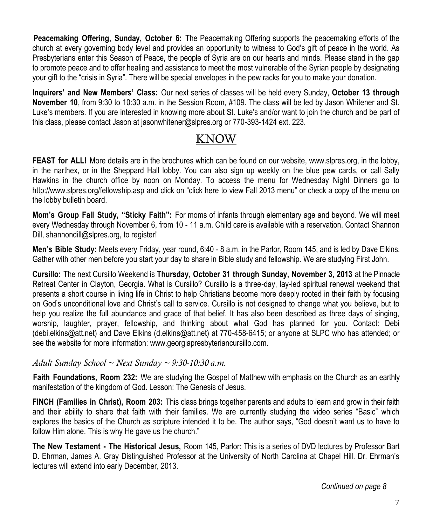.**Peacemaking Offering, Sunday, October 6:** The Peacemaking Offering supports the peacemaking efforts of the church at every governing body level and provides an opportunity to witness to God's gift of peace in the world. As Presbyterians enter this Season of Peace, the people of Syria are on our hearts and minds. Please stand in the gap to promote peace and to offer healing and assistance to meet the most vulnerable of the Syrian people by designating your gift to the "crisis in Syria". There will be special envelopes in the pew racks for you to make your donation.

**Inquirers' and New Members' Class:** Our next series of classes will be held every Sunday, **October 13 through November 10**, from 9:30 to 10:30 a.m. in the Session Room, #109. The class will be led by Jason Whitener and St. Luke's members. If you are interested in knowing more about St. Luke's and/or want to join the church and be part of this class, please contact Jason at jasonwhitener@slpres.org or 770-393-1424 ext. 223.

### KNOW

**FEAST for ALL!** More details are in the brochures which can be found on our website, [www.slpres.org,](http://www.slpres.org) in the lobby, in the narthex, or in the Sheppard Hall lobby. You can also sign up weekly on the blue pew cards, or call Sally Hawkins in the church office by noon on Monday. To access the menu for Wednesday Night Dinners go to http://www.slpres.org/fellowship.asp and click on "click here to view Fall 2013 menu" or check a copy of the menu on the lobby bulletin board.

**Mom's Group Fall Study, "Sticky Faith":** For moms of infants through elementary age and beyond. We will meet every Wednesday through November 6, from 10 - 11 a.m. Child care is available with a reservation. Contact Shannon Dill, shannondill@slpres.org, to register!

**Men's Bible Study:** Meets every Friday, year round, 6:40 - 8 a.m. in the Parlor, Room 145, and is led by Dave Elkins. Gather with other men before you start your day to share in Bible study and fellowship. We are studying First John.

**Cursillo:** The next Cursillo Weekend is **Thursday, October 31 through Sunday, November 3, 2013** at the Pinnacle Retreat Center in Clayton, Georgia. What is Cursillo? Cursillo is a three-day, lay-led spiritual renewal weekend that presents a short course in living life in Christ to help Christians become more deeply rooted in their faith by focusing on God's unconditional love and Christ's call to service. Cursillo is not designed to change what you believe, but to help you realize the full abundance and grace of that belief. It has also been described as three days of singing, worship, laughter, prayer, fellowship, and thinking about what God has planned for you. Contact: Debi ([debi.elkins@att.net\)](mailto:debi.elkins@att.net) and Dave Elkins [\(d.elkins@att.net\)](mailto:d.elkins@att.net) at 770-458-6415; or anyone at SLPC who has attended; or see the website for more information: [www.g](http://www.signupgenius.com/go/805084CAFAF28A75-slpc3)eorgiapresbyteriancursillo.com.

#### *Adult Sunday School ~ Next Sunday ~ 9:30-10:30 a.m.*

**Faith Foundations, Room 232:** We are studying the Gospel of Matthew with emphasis on the Church as an earthly manifestation of the kingdom of God. Lesson: The Genesis of Jesus.

**FINCH (Families in Christ), Room 203:** This class brings together parents and adults to learn and grow in their faith and their ability to share that faith with their families. We are currently studying the video series "Basic" which explores the basics of the Church as scripture intended it to be. The author says, "God doesn't want us to have to follow Him alone. This is why He gave us the church."

**The New Testament - The Historical Jesus,** Room 145, Parlor: This is a series of DVD lectures by Professor Bart D. Ehrman, James A. Gray Distinguished Professor at the University of North Carolina at Chapel Hill. Dr. Ehrman's lectures will extend into early December, 2013.

*Continued on page 8*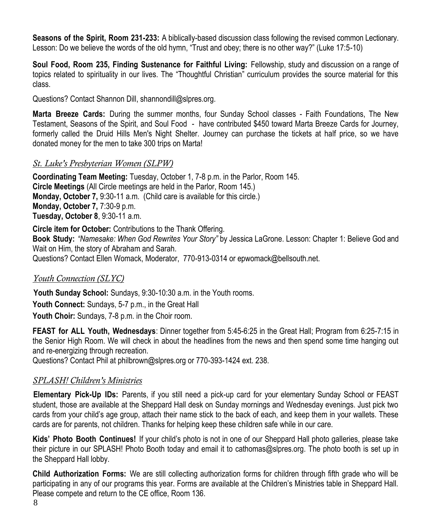**Seasons of the Spirit, Room 231-233:** A biblically-based discussion class following the revised common Lectionary. Lesson: Do we believe the words of the old hymn, "Trust and obey; there is no other way?" (Luke 17:5-10)

**Soul Food, Room 235, Finding Sustenance for Faithful Living:** Fellowship, study and discussion on a range of topics related to spirituality in our lives. The "Thoughtful Christian" curriculum provides the source material for this class.

Questions? Contact Shannon Dill, shannondill@slpres.org.

**Marta Breeze Cards:** During the summer months, four Sunday School classes - Faith Foundations, The New Testament, Seasons of the Spirit, and Soul Food - have contributed \$450 toward Marta Breeze Cards for Journey, formerly called the Druid Hills Men's Night Shelter. Journey can purchase the tickets at half price, so we have donated money for the men to take 300 trips on Marta!

#### *St. Luke's Presbyterian Women (SLPW)*

**Coordinating Team Meeting:** Tuesday, October 1, 7-8 p.m. in the Parlor, Room 145. **Circle Meetings** (All Circle meetings are held in the Parlor, Room 145.) **Monday, October 7,** 9:30-11 a.m. (Child care is available for this circle.) **Monday, October 7,** 7:30-9 p.m. **Tuesday, October 8**, 9:30-11 a.m.

**Circle item for October:** Contributions to the Thank Offering. **Book Study:** *"Namesake: When God Rewrites Your Story"* by Jessica LaGrone. Lesson: Chapter 1: Believe God and Wait on Him, the story of Abraham and Sarah. Questions? Contact Ellen Womack, Moderator, 770-913-0314 or epwomack@bellsouth.net.

#### *Youth Connection (SLYC)*

**Youth Sunday School:** Sundays, 9:30-10:30 a.m. in the Youth rooms. **Youth Connect:** Sundays, 5-7 p.m., in the Great Hall **Youth Choir:** Sundays, 7-8 p.m. in the Choir room.

**FEAST for ALL Youth, Wednesdays**: Dinner together from 5:45-6:25 in the Great Hall; Program from 6:25-7:15 in the Senior High Room. We will check in about the headlines from the news and then spend some time hanging out and re-energizing through recreation.

Questions? Contact Phil at philbrown@slpres.org or 770-393-1424 ext. 238.

#### *SPLASH! Children's Ministries*

**Elementary Pick-Up IDs:** Parents, if you still need a pick-up card for your elementary Sunday School or FEAST student, those are available at the Sheppard Hall desk on Sunday mornings and Wednesday evenings. Just pick two cards from your child's age group, attach their name stick to the back of each, and keep them in your wallets. These cards are for parents, not children. Thanks for helping keep these children safe while in our care.

**Kids' Photo Booth Continues!** If your child's photo is not in one of our Sheppard Hall photo galleries, please take their picture in our SPLASH! Photo Booth today and email it to [cathomas@slpres.org.](mailto:cathomas@slpres.org) The photo booth is set up in the Sheppard Hall lobby.

**Child Authorization Forms:** We are still collecting authorization forms for children through fifth grade who will be participating in any of our programs this year. Forms are available at the Children's Ministries table in Sheppard Hall. Please compete and return to the CE office, Room 136.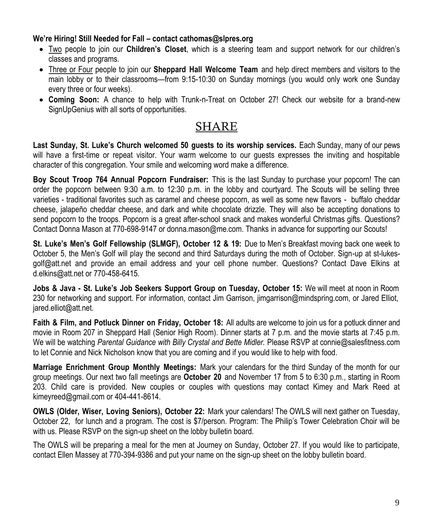#### **We're Hiring! Still Needed for Fall – contact cathomas@slpres.org**

- Two people to join our **Children's Closet**, which is a steering team and support network for our children's classes and programs.
- Three or Four people to join our **Sheppard Hall Welcome Team** and help direct members and visitors to the main lobby or to their classrooms—from 9:15-10:30 on Sunday mornings (you would only work one Sunday every three or four weeks).
- **Coming Soon:** A chance to help with Trunk-n-Treat on October 27! Check our website for a brand-new SignUpGenius with all sorts of opportunities.

### SHARE

**Last Sunday, St. Luke's Church welcomed 50 guests to its worship services.** Each Sunday, many of our pews will have a first-time or repeat visitor. Your warm welcome to our guests expresses the inviting and hospitable character of this congregation. Your smile and welcoming word make a difference.

**Boy Scout Troop 764 Annual Popcorn Fundraiser:** This is the last Sunday to purchase your popcorn! The can order the popcorn between 9:30 a.m. to 12:30 p.m. in the lobby and courtyard. The Scouts will be selling three varieties - traditional favorites such as caramel and cheese popcorn, as well as some new flavors - buffalo cheddar cheese, jalapeño cheddar cheese, and dark and white chocolate drizzle. They will also be accepting donations to send popcorn to the troops. Popcorn is a great after-school snack and makes wonderful Christmas gifts. Questions? Contact Donna Mason at 770-698-9147 or [donna.mason@me.com.](mailto:donna.mason@me.com) Thanks in advance for supporting our Scouts!

**St. Luke's Men's Golf Fellowship (SLMGF), October 12 & 19:** Due to Men's Breakfast moving back one week to October 5, the Men's Golf will play the second and third Saturdays during the moth of October. Sign-up at st-lukesgolf@att.net and provide an email address and your cell phone number. Questions? Contact Dave Elkins at d.elkins@att.net or 770-458-6415.

**Jobs & Java - St. Luke's Job Seekers Support Group on Tuesday, October 15:** We will meet at noon in Room 230 for networking and support. For information, contact Jim Garrison, jimgarrison@mindspring.com, or Jared Elliot, jared.elliot@att.net.

**Faith & Film, and Potluck Dinner on Friday, October 18:** All adults are welcome to join us for a potluck dinner and movie in Room 207 in Sheppard Hall (Senior High Room). Dinner starts at 7 p.m. and the movie starts at 7:45 p.m. We will be watching *Parental Guidance with Billy Crystal and Bette Midler.* Please RSVP at connie@salesfitness.com to let Connie and Nick Nicholson know that you are coming and if you would like to help with food.

**Marriage Enrichment Group Monthly Meetings:** Mark your calendars for the third Sunday of the month for our group meetings. Our next two fall meetings are **October 20** and November 17 from 5 to 6:30 p.m., starting in Room 203. Child care is provided. New couples or couples with questions may contact Kimey and Mark Reed at kimeyreed@gmail.com or 404-441-8614.

**OWLS (Older, Wiser, Loving Seniors), October 22:** Mark your calendars! The OWLS will next gather on Tuesday, October 22, for lunch and a program. The cost is \$7/person. Program: The Philip's Tower Celebration Choir will be with us. Please RSVP on the sign-up sheet on the lobby bulletin board.

The OWLS will be preparing a meal for the men at Journey on Sunday, October 27. If you would like to participate, contact Ellen Massey at 770-394-9386 and put your name on the sign-up sheet on the lobby bulletin board.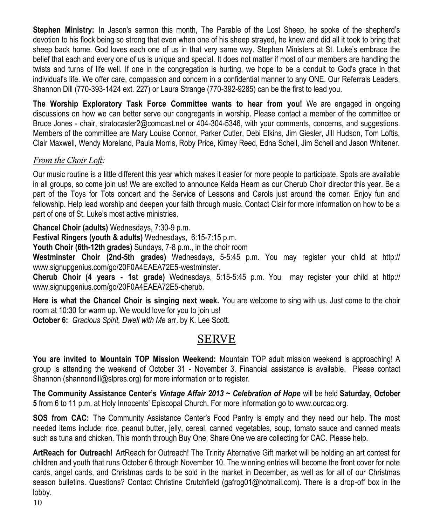**Stephen Ministry:** In Jason's sermon this month, The Parable of the Lost Sheep, he spoke of the shepherd's devotion to his flock being so strong that even when one of his sheep strayed, he knew and did all it took to bring that sheep back home. God loves each one of us in that very same way. Stephen Ministers at St. Luke's embrace the belief that each and every one of us is unique and special. It does not matter if most of our members are handling the twists and turns of life well. If one in the congregation is hurting, we hope to be a conduit to God's grace in that individual's life. We offer care, compassion and concern in a confidential manner to any ONE. Our Referrals Leaders, Shannon Dill (770-393-1424 ext. 227) or Laura Strange (770-392-9285) can be the first to lead you.

**The Worship Exploratory Task Force Committee wants to hear from you!** We are engaged in ongoing discussions on how we can better serve our congregants in worship. Please contact a member of the committee or Bruce Jones - chair, [stratocaster2@comcast.net o](mailto:stratocaster2@comcast.net)r 404-304-5346, with your comments, concerns, and suggestions. Members of the committee are Mary Louise Connor, Parker Cutler, Debi Elkins, Jim Giesler, Jill Hudson, Tom Loftis, Clair Maxwell, Wendy Moreland, Paula Morris, Roby Price, Kimey Reed, Edna Schell, Jim Schell and Jason Whitener.

#### *From the Choir Loft:*

Our music routine is a little different this year which makes it easier for more people to participate. Spots are available in all groups, so come join us! We are excited to announce Kelda Hearn as our Cherub Choir director this year. Be a part of the Toys for Tots concert and the Service of Lessons and Carols just around the corner. Enjoy fun and fellowship. Help lead worship and deepen your faith through music. Contact Clair for more information on how to be a part of one of St. Luke's most active ministries.

**Chancel Choir (adults)** Wednesdays, 7:30-9 p.m.

**Festival Ringers (youth & adults)** Wednesdays, 6:15-7:15 p.m.

**Youth Choir (6th-12th grades)** Sundays, 7-8 p.m., in the choir room

**Westminster Choir (2nd-5th grades)** Wednesdays, 5-5:45 p.m. You may register your child at http:// www.signupgenius.com/go/20F0A4EAEA72E5-westminster.

**Cherub Choir (4 years - 1st grade)** Wednesdays, 5:15-5:45 p.m. You may register your child at http:// www.signupgenius.com/go/20F0A4EAEA72E5-cherub.

**Here is what the Chancel Choir is singing next week.** You are welcome to sing with us. Just come to the choir room at 10:30 for warm up. We would love for you to join us!

**October 6:** *Gracious Spirit, Dwell with Me* arr. by K. Lee Scott.

### SERVE

**You are invited to Mountain TOP Mission Weekend:** Mountain TOP adult mission weekend is approaching! A group is attending the weekend of October 31 - November 3. Financial assistance is available. Please contact Shannon [\(shannondill@slpres.org\)](mailto:shannondill@slpres.org) for more information or to register.

**The Community Assistance Center's** *Vintage Affair 2013 ~ Celebration of Hope* will be held **Saturday, October 5** from 6 to 11 p.m. at Holy Innocents' Episcopal Church. For more information go to www.ourcac.org.

**SOS from CAC:** The Community Assistance Center's Food Pantry is empty and they need our help. The most needed items include: rice, peanut butter, jelly, cereal, canned vegetables, soup, tomato sauce and canned meats such as tuna and chicken. This month through Buy One; Share One we are collecting for CAC. Please help.

**ArtReach for Outreach!** ArtReach for Outreach! The Trinity Alternative Gift market will be holding an art contest for children and youth that runs October 6 through November 10. The winning entries will become the front cover for note cards, angel cards, and Christmas cards to be sold in the market in December, as well as for all of our Christmas season bulletins. Questions? Contact Christine Crutchfield (gafrog01@hotmail.com). There is a drop-off box in the lobby.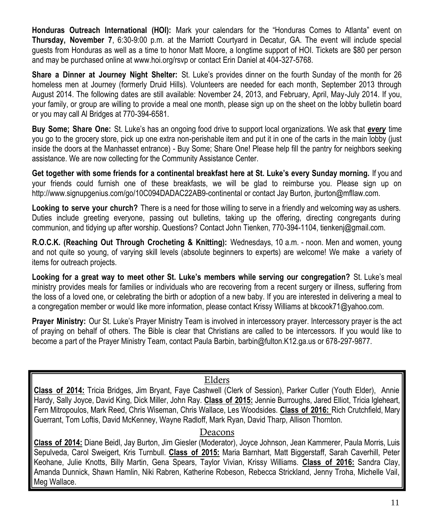**Honduras Outreach International (HOI):** Mark your calendars for the "Honduras Comes to Atlanta" event on **Thursday, November 7**, 6:30-9:00 p.m. at the Marriott Courtyard in Decatur, GA. The event will include special guests from Honduras as well as a time to honor Matt Moore, a longtime support of HOI. Tickets are \$80 per person and may be purchased online at www.hoi.org/rsvp or contact Erin Daniel at 404-327-5768.

**Share a Dinner at Journey Night Shelter:** St. Luke's provides dinner on the fourth Sunday of the month for 26 homeless men at Journey (formerly Druid Hills). Volunteers are needed for each month, September 2013 through August 2014. The following dates are still available: November 24, 2013, and February, April, May-July 2014. If you, your family, or group are willing to provide a meal one month, please sign up on the sheet on the lobby bulletin board or you may call Al Bridges at 770-394-6581.

**Buy Some; Share One:** St. Luke's has an ongoing food drive to support local organizations. We ask that *every* time you go to the grocery store, pick up one extra non-perishable item and put it in one of the carts in the main lobby (just inside the doors at the Manhasset entrance) - Buy Some; Share One! Please help fill the pantry for neighbors seeking assistance. We are now collecting for the Community Assistance Center.

**Get together with some friends for a continental breakfast here at St. Luke's every Sunday morning.** If you and your friends could furnish one of these breakfasts, we will be glad to reimburse you. Please sign up on http://www.signupgenius.com/go/10C094DADAC22AB9-continental or contact Jay Burton, jburton@mfllaw.com.

**Looking to serve your church?** There is a need for those willing to serve in a friendly and welcoming way as ushers. Duties include greeting everyone, passing out bulletins, taking up the offering, directing congregants during communion, and tidying up after worship. Questions? Contact John Tienken, 770-394-1104, tienkenj@gmail.com.

**R.O.C.K. (Reaching Out Through Crocheting & Knitting):** Wednesdays, 10 a.m. - noon. Men and women, young and not quite so young, of varying skill levels (absolute beginners to experts) are welcome! We make a variety of items for outreach projects.

**Looking for a great way to meet other St. Luke's members while serving our congregation?** St. Luke's meal ministry provides meals for families or individuals who are recovering from a recent surgery or illness, suffering from the loss of a loved one, or celebrating the birth or adoption of a new baby. If you are interested in delivering a meal to a congregation member or would like more information, please contact Krissy Williams at bkcook71@yahoo.com.

**Prayer Ministry:** Our St. Luke's Prayer Ministry Team is involved in intercessory prayer. Intercessory prayer is the act of praying on behalf of others. The Bible is clear that Christians are called to be intercessors. If you would like to become a part of the Prayer Ministry Team, contact Paula Barbin, barbin@fulton.K12.ga.us or 678-297-9877.

#### Elders

**Class of 2014:** Tricia Bridges, Jim Bryant, Faye Cashwell (Clerk of Session), Parker Cutler (Youth Elder), Annie Hardy, Sally Joyce, David King, Dick Miller, John Ray. **Class of 2015:** Jennie Burroughs, Jared Elliot, Tricia Igleheart, Fern Mitropoulos, Mark Reed, Chris Wiseman, Chris Wallace, Les Woodsides. **Class of 2016:** Rich Crutchfield, Mary Guerrant, Tom Loftis, David McKenney, Wayne Radloff, Mark Ryan, David Tharp, Allison Thornton.

#### Deacons

**Class of 2014:** Diane Beidl, Jay Burton, Jim Giesler (Moderator), Joyce Johnson, Jean Kammerer, Paula Morris, Luis Sepulveda, Carol Sweigert, Kris Turnbull. **Class of 2015:** Maria Barnhart, Matt Biggerstaff, Sarah Caverhill, Peter Keohane, Julie Knotts, Billy Martin, Gena Spears, Taylor Vivian, Krissy Williams. **Class of 2016:** Sandra Clay, Amanda Dunnick, Shawn Hamlin, Niki Rabren, Katherine Robeson, Rebecca Strickland, Jenny Troha, Michelle Vail, Meg Wallace.